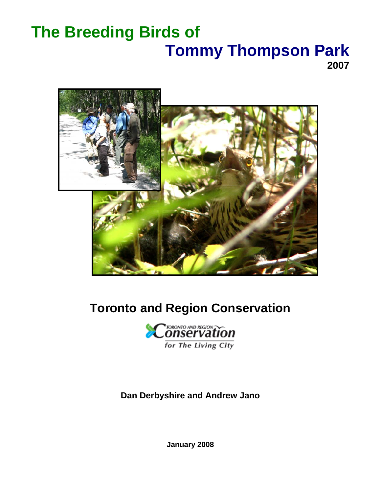# **The Breeding Birds of Tommy Thompson Park 2007**



# **Toronto and Region Conservation**



**Dan Derbyshire and Andrew Jano** 

**January 2008**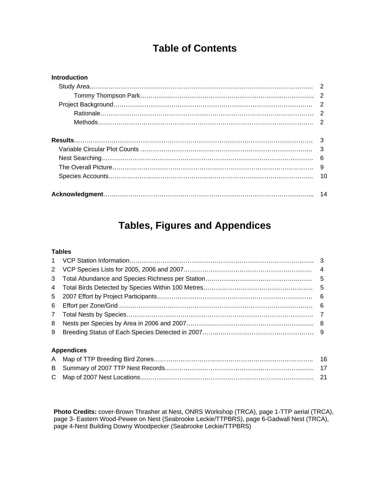# **Table of Contents**

| <b>Introduction</b> |    |
|---------------------|----|
|                     |    |
|                     | 2  |
|                     | 2  |
|                     |    |
|                     |    |
|                     |    |
|                     | 3  |
|                     | 3  |
|                     | 6  |
|                     | 9  |
|                     | 10 |
|                     |    |
|                     | 14 |

# **Tables, Figures and Appendices**

#### **Tables**

| $7\overline{ }$ |                   |  |
|-----------------|-------------------|--|
| 8               |                   |  |
|                 |                   |  |
|                 |                   |  |
|                 | <b>Appendices</b> |  |

### A Map of TTP Breeding Bird Zones………………………………………………………………….. 16 B Summary of 2007 TTP Nest Records……………………………………………………………... 17 C Map of 2007 Nest Locations………………………………………………………………………... 21

**Photo Credits:** cover-Brown Thrasher at Nest, ONRS Workshop (TRCA), page 1-TTP aerial (TRCA), page 3- Eastern Wood-Pewee on Nest (Seabrooke Leckie/TTPBRS), page 6-Gadwall Nest (TRCA), page 4-Nest Building Downy Woodpecker (Seabrooke Leckie/TTPBRS)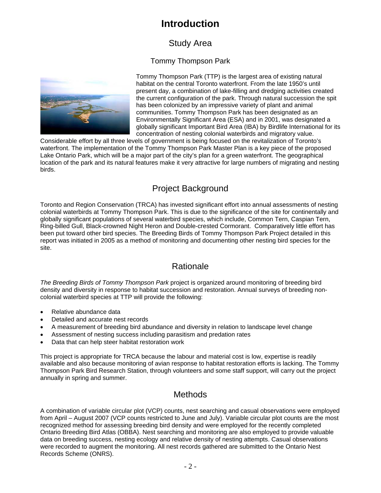# **Introduction**

## Study Area

### Tommy Thompson Park



Tommy Thompson Park (TTP) is the largest area of existing natural habitat on the central Toronto waterfront. From the late 1950's until present day, a combination of lake-filling and dredging activities created the current configuration of the park. Through natural succession the spit has been colonized by an impressive variety of plant and animal communities. Tommy Thompson Park has been designated as an Environmentally Significant Area (ESA) and in 2001, was designated a globally significant Important Bird Area (IBA) by Birdlife International for its concentration of nesting colonial waterbirds and migratory value.

Considerable effort by all three levels of government is being focused on the revitalization of Toronto's waterfront. The implementation of the Tommy Thompson Park Master Plan is a key piece of the proposed Lake Ontario Park, which will be a major part of the city's plan for a green waterfront. The geographical location of the park and its natural features make it very attractive for large numbers of migrating and nesting birds.

### Project Background

Toronto and Region Conservation (TRCA) has invested significant effort into annual assessments of nesting colonial waterbirds at Tommy Thompson Park. This is due to the significance of the site for continentally and globally significant populations of several waterbird species, which include, Common Tern, Caspian Tern, Ring-billed Gull, Black-crowned Night Heron and Double-crested Cormorant. Comparatively little effort has been put toward other bird species. The Breeding Birds of Tommy Thompson Park Project detailed in this report was initiated in 2005 as a method of monitoring and documenting other nesting bird species for the site.

### Rationale

*The Breeding Birds of Tommy Thompson Park* project is organized around monitoring of breeding bird density and diversity in response to habitat succession and restoration. Annual surveys of breeding noncolonial waterbird species at TTP will provide the following:

- Relative abundance data
- Detailed and accurate nest records
- A measurement of breeding bird abundance and diversity in relation to landscape level change
- Assessment of nesting success including parasitism and predation rates
- Data that can help steer habitat restoration work

This project is appropriate for TRCA because the labour and material cost is low, expertise is readily available and also because monitoring of avian response to habitat restoration efforts is lacking. The Tommy Thompson Park Bird Research Station, through volunteers and some staff support, will carry out the project annually in spring and summer.

### **Methods**

A combination of variable circular plot (VCP) counts, nest searching and casual observations were employed from April – August 2007 (VCP counts restricted to June and July). Variable circular plot counts are the most recognized method for assessing breeding bird density and were employed for the recently completed Ontario Breeding Bird Atlas (OBBA). Nest searching and monitoring are also employed to provide valuable data on breeding success, nesting ecology and relative density of nesting attempts. Casual observations were recorded to augment the monitoring. All nest records gathered are submitted to the Ontario Nest Records Scheme (ONRS).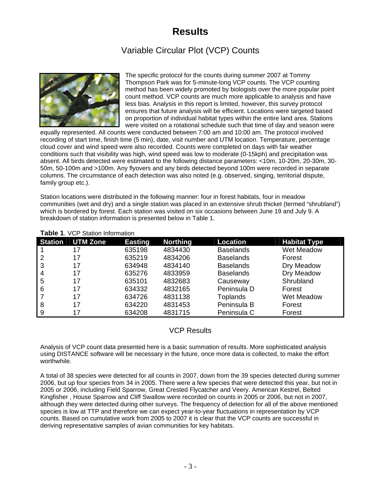# **Results**

# Variable Circular Plot (VCP) Counts



The specific protocol for the counts during summer 2007 at Tommy Thompson Park was for 5-minute-long VCP counts. The VCP counting method has been widely promoted by biologists over the more popular point count method. VCP counts are much more applicable to analysis and have less bias. Analysis in this report is limited, however, this survey protocol ensures that future analysis will be efficient. Locations were targeted based on proportion of individual habitat types within the entire land area. Stations were visited on a rotational schedule such that time of day and season were

conditions such that visibility was high, wind speed was low to moderate (0-15kph) and precipitation was - absent. All birds detected were estimated to the following distance parameters: <10m, 10-20m, 20-30m, 30 family group etc.). equally represented. All counts were conducted between 7:00 am and 10:00 am. The protocol involved recording of start time, finish time (5 min), date, visit number and UTM location. Temperature, percentage cloud cover and wind speed were also recorded. Counts were completed on days with fair weather 50m, 50-100m and >100m. Any flyovers and any birds detected beyond 100m were recorded in separate columns. The circumstance of each detection was also noted (e.g. observed, singing, territorial dispute,

communities (wet and dry) and a single station was placed in an extensive shrub thicket (termed "shrubland") which is bordered by forest. Each station was visited on six occasions between June 19 and July 9. A breakdown of station information is presented below in Table 1. Station locations were distributed in the following manner: four in forest habitats, four in meadow

| <b>Station</b> | <b>UTM Zone</b> | <b>Easting</b> | <b>Northing</b> | Location         | <b>Habitat Type</b> |
|----------------|-----------------|----------------|-----------------|------------------|---------------------|
|                | 17              | 635198         | 4834430         | <b>Baselands</b> | Wet Meadow          |
|                | 17              | 635219         | 4834206         | <b>Baselands</b> | Forest              |
| 3              | 17              | 634948         | 4834140         | <b>Baselands</b> | Dry Meadow          |
| 4              | 17              | 635276         | 4833959         | <b>Baselands</b> | Dry Meadow          |
| 5              | 17              | 635101         | 4832683         | Causeway         | Shrubland           |
| 6              | 17              | 634332         | 4832165         | Peninsula D      | Forest              |
|                | 17              | 634726         | 4831138         | <b>Toplands</b>  | Wet Meadow          |
| 8              | 17              | 634220         | 4831453         | Peninsula B      | Forest              |
| 9              | 17              | 634208         | 4831715         | Peninsula C      | Forest              |

#### Table 1. VCP Station Information

### VCP Results

using DISTANCE software will be necessary in the future, once more data is collected, to make the effort worthwhile. Analysis of VCP count data presented here is a basic summation of results. More sophisticated analysis

2006, but up four species from 34 in 2005. There were a few species that were detected this year, but not in although they were detected during other surveys. The frequency of detection for all of the above mentioned counts. Based on cumulative work from 2005 to 2007 it is clear that the VCP counts are successful in deriving representative samples of avian communities for key habitats. A total of 38 species were detected for all counts in 2007, down from the 39 species detected during summer 2005 or 2006, including Field Sparrow, Great Crested Flycatcher and Veery. American Kestrel, Belted Kingfisher , House Sparrow and Cliff Swallow were recorded on counts in 2005 or 2006, but not in 2007, species is low at TTP and therefore we can expect year-to-year fluctuations in representation by VCP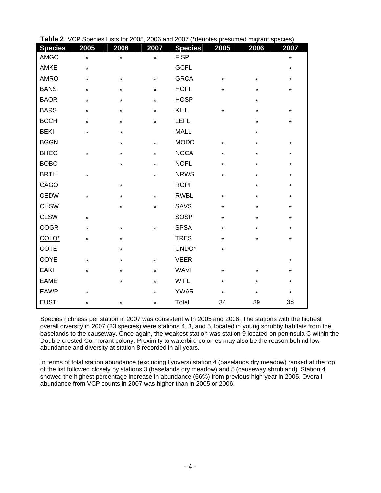| <b>Species</b> | 2005    | 2006     | 2007    | $\sim$ vor operate Eats for 2000, 2000 and 2007 $\gamma$ denotes presumed migrant species).<br><b>Species</b> | 2005    | 2006    | 2007    |
|----------------|---------|----------|---------|---------------------------------------------------------------------------------------------------------------|---------|---------|---------|
| <b>AMGO</b>    | $\star$ | $\star$  | $\star$ | <b>FISP</b>                                                                                                   |         |         | *       |
| AMKE           | $\star$ |          |         | <b>GCFL</b>                                                                                                   |         |         | $\star$ |
| <b>AMRO</b>    | $\star$ | $\star$  | $\star$ | <b>GRCA</b>                                                                                                   | $\star$ | $\star$ | *       |
| <b>BANS</b>    | $\star$ | $\star$  | $\star$ | <b>HOFI</b>                                                                                                   | $\star$ |         | *       |
| <b>BAOR</b>    | $\star$ | $\star$  | $\star$ | <b>HOSP</b>                                                                                                   |         | $\star$ |         |
| <b>BARS</b>    | $\star$ | $\star$  | $\star$ | KILL                                                                                                          | $\star$ |         | $\star$ |
| <b>BCCH</b>    | $\star$ | $\star$  | $\star$ | <b>LEFL</b>                                                                                                   |         | $\star$ | *       |
| <b>BEKI</b>    | $\star$ | $\star$  |         | <b>MALL</b>                                                                                                   |         |         |         |
| <b>BGGN</b>    |         | $\star$  | $\star$ | <b>MODO</b>                                                                                                   | $\star$ | $\star$ | $\star$ |
| <b>BHCO</b>    | *       | $\star$  | $\star$ | <b>NOCA</b>                                                                                                   | $\star$ |         | *       |
| <b>BOBO</b>    |         | $\star$  | $\star$ | <b>NOFL</b>                                                                                                   | $\star$ | $\star$ | $\star$ |
| <b>BRTH</b>    | *       |          | $\star$ | <b>NRWS</b>                                                                                                   | $\star$ |         | *       |
| CAGO           |         | $\star$  |         | <b>ROPI</b>                                                                                                   |         | $\star$ | $\star$ |
| <b>CEDW</b>    | *       | *        | $\star$ | <b>RWBL</b>                                                                                                   | $\star$ |         | *       |
| <b>CHSW</b>    |         | $\star$  | $\star$ | <b>SAVS</b>                                                                                                   | $\star$ |         | $\star$ |
| <b>CLSW</b>    | *       |          |         | <b>SOSP</b>                                                                                                   | $\star$ |         | *       |
| <b>COGR</b>    | $\star$ | $^\star$ | $\star$ | <b>SPSA</b>                                                                                                   | $\star$ |         | $\star$ |
| COLO*          | *       | *        |         | <b>TRES</b>                                                                                                   | $\star$ |         | *       |
| COTE           |         | $\star$  |         | UNDO*                                                                                                         | $\star$ |         |         |
| COYE           | *       | *        | $\star$ | <b>VEER</b>                                                                                                   |         |         | *       |
| <b>EAKI</b>    | $\star$ | $\star$  | $\star$ | <b>WAVI</b>                                                                                                   | $\star$ | $\star$ | *       |
| <b>EAME</b>    |         | $\star$  | $\star$ | <b>WIFL</b>                                                                                                   | $\star$ |         | *       |
| <b>EAWP</b>    | $\star$ |          | $\star$ | <b>YWAR</b>                                                                                                   | $\star$ | $\star$ | $\star$ |
| <b>EUST</b>    | *       | $\star$  | $\star$ | Total                                                                                                         | 34      | 39      | 38      |

| Table 2. VCP Species Lists for 2005, 2006 and 2007 (*denotes presumed migrant species) |  |
|----------------------------------------------------------------------------------------|--|
|----------------------------------------------------------------------------------------|--|

Species richness per station in 2007 was consistent with 2005 and 2006. The stations with the highest overall diversity in 2007 (23 species) were stations 4, 3, and 5, located in young scrubby habitats from the baselands to the causeway. Once again, the weakest station was station 9 located on peninsula C within the Double-crested Cormorant colony. Proximity to waterbird co lonies may also be the reason behind low abundance and diversity at station 8 recorded in all years.

In terms of total station abundance (excluding flyovers) station 4 (baselands dry meadow) ranked at the top showed the highest percentage increase in abundance (66%) from previous high year in 2005. Overall abundance from VCP counts in 2007 was higher than in 2005 or 2006. of the list followed closely by stations 3 (baselands dry meadow) and 5 (causeway shrubland). Station 4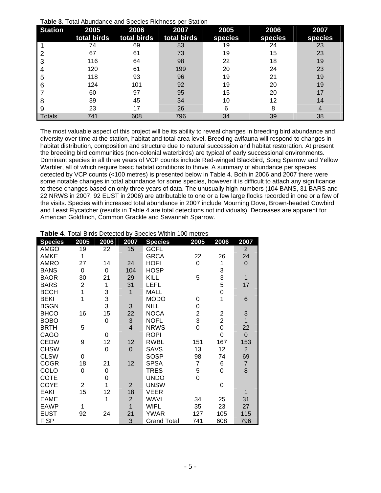| Table 3. Total Abundance and Species Richness per Station |
|-----------------------------------------------------------|
|-----------------------------------------------------------|

| <b>Station</b> | 2005<br>total birds | 2006<br>total birds | 2007<br>total birds | 2005<br>species | 2006<br>species | 2007<br>species |
|----------------|---------------------|---------------------|---------------------|-----------------|-----------------|-----------------|
|                | 74                  | 69                  | 83                  | 19              | 24              | 23              |
|                | 67                  | 61                  | 73                  | 19              | 15              | 23              |
| 3              | 116                 | 64                  | 98                  | 22              | 18              | 19              |
|                | 120                 | 61                  | 199                 | 20              | 24              | 23              |
| 5              | 118                 | 93                  | 96                  | 19              | 21              | 19              |
| 6              | 124                 | 101                 | 92                  | 19              | 20              | 19              |
|                | 60                  | 97                  | 95                  | 15              | 20              | 17              |
| 8              | 39                  | 45                  | 34                  | 10              | 12              | 14              |
| 9              | 23                  | 17                  | 26                  | 6               | 8               | 4               |
| Totals         | 741                 | 608                 | 796                 | 34              | 39              | 38              |

The most valuable aspect of this project will be its ability to reveal changes in breeding bird abundance and diversity over time at the station, habitat and total area level. Breeding avifauna will respond to changes in habitat distribution, composition and structure due to natural succession and habitat restoration. At present the breeding bird communities (non-colonial waterbirds) are typical of early successional environments. Dominant species in all three years of VCP counts include Red-winged Blackbird, Song Sparrow and Yellow Warbler, all of which require basic habitat conditions to thrive. A summary of abundance per species detected by VCP counts (<100 metres) is presented below in Table 4. Both in 2006 and 2007 there were some notable changes in total abundance for some species, however it is difficult to attach any significance to these changes based on only three years of data. The unusually high numbers (104 BANS, 31 BARS and 22 NRWS in 2007, 92 EUST in 2006) are attributable to one or a few large flocks recorded in one or a few of the visits. Species with increased total abundance in 2007 include Mourning Dove, Brown-headed Cowbird and Least Flycatcher (results in Table 4 are total detections not individuals). Decreases are apparent for American Goldfinch, Common Grackle and Savannah Sparrow.

| <b>Species</b> | 2005           | 2006     | 2007                      | <b>Species</b>     | 2005           | 2006           | 2007           |
|----------------|----------------|----------|---------------------------|--------------------|----------------|----------------|----------------|
| AMGO           | 19             | 22       | 15                        | <b>GCFL</b>        |                |                | $\overline{2}$ |
| <b>AMKE</b>    | 1              |          |                           | <b>GRCA</b>        | 22             | 26             | 24             |
| <b>AMRO</b>    | 27             | 14       | 24                        | <b>HOFI</b>        | 0              | 1              | $\overline{0}$ |
| <b>BANS</b>    | 0              | 0        | 104                       | <b>HOSP</b>        |                | 3              |                |
| <b>BAOR</b>    | 30             | 21       | 29                        | KILL               | 5              | 3              | $\mathbf{1}$   |
| <b>BARS</b>    | $\overline{2}$ | 1        | 31                        | <b>LEFL</b>        |                | 5              | 17             |
| <b>BCCH</b>    | 1              | 3        | $\mathbf{1}$              | MALL               |                | 0              |                |
| <b>BEKI</b>    | 1              | 3        |                           | <b>MODO</b>        | 0              | 1              | 6              |
| <b>BGGN</b>    |                | 3        | 3                         | <b>NILL</b>        | 0              |                |                |
| <b>BHCO</b>    | 16             | 15       | 22                        | <b>NOCA</b>        | $\overline{2}$ | 2              | 3              |
| <b>BOBO</b>    |                | 0        | $\ensuremath{\mathsf{3}}$ | <b>NOFL</b>        | 3              | $\overline{2}$ | $\mathbf{1}$   |
| <b>BRTH</b>    | 5              |          | $\overline{\mathcal{L}}$  | <b>NRWS</b>        | 0              | 0              | 22             |
| CAGO           |                | $\Omega$ |                           | <b>ROPI</b>        |                | 0              | $\mathbf{0}$   |
| <b>CEDW</b>    | 9              | 12       | 12                        | <b>RWBL</b>        | 151            | 167            | 153            |
| <b>CHSW</b>    |                | 0        | $\mathbf 0$               | <b>SAVS</b>        | 13             | 12             | $\overline{2}$ |
| <b>CLSW</b>    | $\Omega$       |          |                           | SOSP               | 98             | 74             | 69             |
| <b>COGR</b>    | 18             | 21       | 12                        | <b>SPSA</b>        | $\overline{7}$ | 6              | $\overline{7}$ |
| COLO           | 0              | 0        |                           | <b>TRES</b>        | 5              | 0              | 8              |
| <b>COTE</b>    |                | 0        |                           | <b>UNDO</b>        | 0              |                |                |
| <b>COYE</b>    | $\overline{2}$ | 1        | $\overline{2}$            | <b>UNSW</b>        |                | 0              |                |
| <b>EAKI</b>    | 15             | 12       | 18                        | VEER               |                |                | 1              |
| <b>EAME</b>    |                | 1        | $\overline{2}$            | WAVI               | 34             | 25             | 31             |
| <b>EAWP</b>    | 1              |          | $\overline{1}$            | <b>WIFL</b>        | 35             | 23             | 27             |
| <b>EUST</b>    | 92             | 24       | 21                        | <b>YWAR</b>        | 127            | 105            | 115            |
| <b>FISP</b>    |                |          | 3                         | <b>Grand Total</b> | 741            | 608            | 796            |

**Table 4**. Total Birds Detected by Species Within 100 metres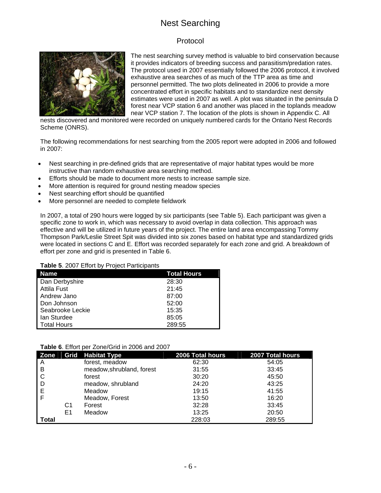## Nest Searching

### Protocol



The nest searching survey method is valuable to bird conservation because it provides indicators of breeding success and parasitism/predation rates. The protocol used in 2007 essentially followed the 2006 protocol, it involved exhaustive area searches of as much of the TTP area as time and personnel permitted. The two plots delineated in 2006 to provide a more concentrated effort in specific habitats and to standardize nest density estimates were used in 2007 as well. A plot was situated in the peninsula D forest near VCP station 6 and another was placed in the toplands meadow near VCP station 7. The location of the plots is shown in Appendix C. All

nests discovered and monitored were recorded on uniquely numbered cards for the Ontario Nest Records Scheme (ONRS).

The following recommendations for nest searching from the 2005 report were adopted in 2006 and followed in 2007:

- Nest searching in pre-defined grids that are representative of major habitat types would be more instructive than random exhaustive area searching method.
- Efforts should be made to document more nests to increase sample size.
- More attention is required for ground nesting meadow species
- Nest searching effort should be quantified
- More personnel are needed to complete fieldwork

In 2007, a total of 290 hours were logged by six participants (see Table 5). Each participant was given a specific zone to work in, which was necessary to avoid overlap in data collection. This approach was effective and will be utilized in future years of the project. The entire land area encompassing Tommy Thompson Park/Leslie Street Spit was divided into six zones based on habitat type and standardized grids were located in sections C and E. Effort was recorded separately for each zone and grid. A breakdown of effort per zone and grid is presented in Table 6.

#### **Table 5**. 2007 Effort by Project Participants

| <b>Name</b>        | <b>Total Hours</b> |
|--------------------|--------------------|
| Dan Derbyshire     | 28:30              |
| <b>Attila Fust</b> | 21:45              |
| Andrew Jano        | 87:00              |
| Don Johnson        | 52:00              |
| Seabrooke Leckie   | 15:35              |
| lan Sturdee        | 85:05              |
| <b>Total Hours</b> | 289:55             |

| Table 6. Effort per Zone/Grid in 2006 and 2007 |  |  |  |  |
|------------------------------------------------|--|--|--|--|
|------------------------------------------------|--|--|--|--|

| Zone  |    | Grid   Habitat Type       | 2006 Total hours | 2007 Total hours |
|-------|----|---------------------------|------------------|------------------|
| A     |    | forest, meadow            | 62:30            | 54:05            |
| B     |    | meadow, shrubland, forest | 31:55            | 33:45            |
| C     |    | forest                    | 30:20            | 45:50            |
| D     |    | meadow, shrubland         | 24:20            | 43:25            |
| Е     |    | Meadow                    | 19:15            | 41:55            |
|       |    | Meadow, Forest            | 13:50            | 16:20            |
|       | C1 | Forest                    | 32:28            | 33:45            |
|       | E1 | Meadow                    | 13:25            | 20:50            |
| Total |    |                           | 228:03           | 289:55           |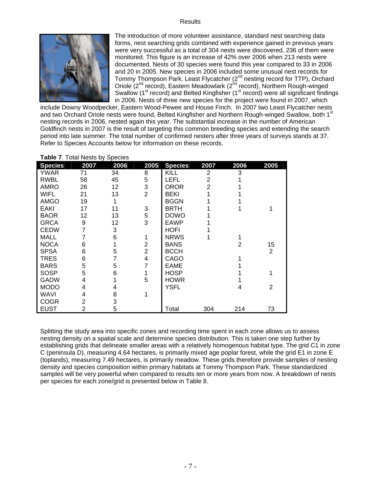#### Results



The introduction of more volunteer assistance, standard nest searching data forms, nest searching grids combined with experience gained in previous years were very successful as a total of 304 nests were discovered, 236 of them were monitored. This figure is an increase of 42% over 2006 when 213 nests were documented. Nests of 30 species were found this year compared to 33 in 2006 and 20 in 2005. New species in 2006 included some unusual nest records for Tommy Thompson Park. Least Flycatcher (2<sup>nd</sup> nesting record for TTP), Orchard Oriole (2<sup>nd</sup> record), Eastern Meadowlark (2<sup>nd</sup> record), Northern Rough-winged Swallow ( $1<sup>st</sup>$  record) and Belted Kingfisher ( $1<sup>st</sup>$  record) were all significant findings in 2006. Nests of three new species for the project were found in 2007, which

include Downy Woodpecker, Eastern Wood-Pewee and House Finch. In 2007 two Least Flycatcher nests and two Orchard Oriole nests were found, Belted Kingfisher and Northern Rough-winged Swallow, both 1<sup>st</sup> nesting records in 2006, nested again this year. The substantial increase in the number of American Goldfinch nests in 2007 is the result of targeting this common breeding species and extending the search period into late summer. The total number of confirmed nesters after three years of surveys stands at 37. Refer to Species Accounts below for information on these records.

| <b>Table 1.</b> Tutal INGSIS by Operates |                |      |                |                |                |      |                |
|------------------------------------------|----------------|------|----------------|----------------|----------------|------|----------------|
| <b>Species</b>                           | 2007           | 2006 | 2005           | <b>Species</b> | 2007           | 2006 | 2005           |
| <b>YWAR</b>                              | 71             | 34   | 8              | KILL           | $\overline{2}$ | 3    |                |
| <b>RWBL</b>                              | 58             | 45   | 5              | LEFL           | 2              |      |                |
| <b>AMRO</b>                              | 26             | 12   | 3              | <b>OROR</b>    | 2              |      |                |
| <b>WIFL</b>                              | 21             | 13   | $\overline{2}$ | BEKI           |                |      |                |
| <b>AMGO</b>                              | 19             |      |                | <b>BGGN</b>    |                |      |                |
| <b>EAKI</b>                              | 17             | 11   | 3              | <b>BRTH</b>    |                |      |                |
| <b>BAOR</b>                              | 12             | 13   | 5              | <b>DOWO</b>    |                |      |                |
| <b>GRCA</b>                              | 9              | 12   | 3              | EAWP           |                |      |                |
| <b>CEDW</b>                              | 7              | 3    |                | HOFI           |                |      |                |
| MALL                                     | 7              | 6    |                | <b>NRWS</b>    |                |      |                |
| <b>NOCA</b>                              | 6              |      | 2              | <b>BANS</b>    |                | 2    | 15             |
| <b>SPSA</b>                              | 6              | 5    | $\overline{2}$ | <b>BCCH</b>    |                |      | $\overline{2}$ |
| <b>TRES</b>                              | 6              |      | 4              | CAGO           |                |      |                |
| <b>BARS</b>                              | 5              | 5    |                | <b>EAME</b>    |                |      |                |
| <b>SOSP</b>                              | 5              | 6    |                | <b>HOSP</b>    |                |      |                |
| <b>GADW</b>                              | 4              |      | 5              | <b>HOWR</b>    |                |      |                |
| <b>MODO</b>                              | 4              | 4    |                | <b>YSFL</b>    |                | 4    | 2              |
| <b>WAVI</b>                              | 4              | 8    |                |                |                |      |                |
| <b>COGR</b>                              | 2              | 3    |                |                |                |      |                |
| <b>EUST</b>                              | $\overline{2}$ | 5    |                | Total          | 304            | 214  | 73             |

**Table 7**. Total Nests by Species

Splitting the study area into specific zones and recording time spent in each zone allows us to assess nesting density on a spatial scale and determine species distribution. This is taken one step further by establishing grids that delineate smaller areas with a relatively homogenous habitat type. The grid C1 in zone C (peninsula D), measuring 4.64 hectares, is primarily mixed age poplar forest, while the grid E1 in zone E (toplands), measuring 7.49 hectares, is primarily meadow. These grids therefore provide samples of nesting density and species composition within primary habitats at Tommy Thompson Park. These standardized samples will be very powerful when compared to results ten or more years from now. A breakdown of nests per species for each zone/grid is presented below in Table 8.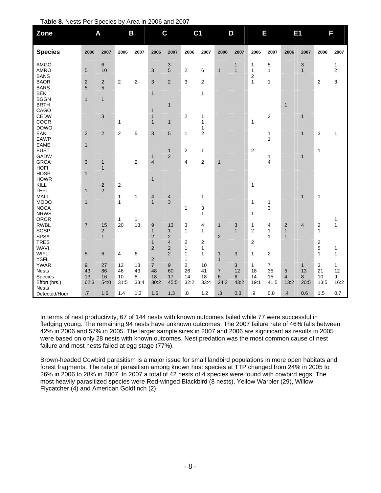|  |  | Table 8. Nests Per Species by Area in 2006 and 2007 |
|--|--|-----------------------------------------------------|
|--|--|-----------------------------------------------------|

| Zone                                      |                              | A                            |                   | B               |                                                | $\mathbf c$                            | C <sub>1</sub>          |                     |                                | D                            |                                         | Ε                                 |                                                         | E <sub>1</sub>    |                                  | F                              |
|-------------------------------------------|------------------------------|------------------------------|-------------------|-----------------|------------------------------------------------|----------------------------------------|-------------------------|---------------------|--------------------------------|------------------------------|-----------------------------------------|-----------------------------------|---------------------------------------------------------|-------------------|----------------------------------|--------------------------------|
| <b>Species</b>                            | 2006                         | 2007                         | 2006              | 2007            | 2006                                           | 2007                                   | 2006                    | 2007                | 2006                           | 2007                         | 2006                                    | 2007                              | 2006                                                    | 2007              | 2006                             | 2007                           |
| AMGO<br><b>AMRO</b>                       | 5                            | $\,6$<br>10                  |                   |                 | 3                                              | 3<br>5                                 | $\overline{2}$          | 6                   | $\mathbf{1}$                   | $\mathbf{1}$<br>$\mathbf{1}$ | $\mathbf{1}$<br>$\mathbf{1}$            | 5<br>$\mathbf{1}$                 |                                                         | 3<br>$\mathbf{1}$ |                                  | $\mathbf{1}$<br>$\overline{2}$ |
| <b>BANS</b><br><b>BAOR</b><br><b>BARS</b> | $\overline{c}$<br>5          | $\overline{\mathbf{c}}$<br>5 | $\overline{2}$    | 2               | 3                                              | $\overline{2}$                         | 3                       | $\overline{2}$      |                                |                              | $\overline{\mathbf{c}}$<br>$\mathbf{1}$ | 1                                 |                                                         |                   | $\overline{2}$                   | 3                              |
| <b>BEKI</b><br><b>BGGN</b><br><b>BRTH</b> | $\mathbf{1}$                 | $\mathbf{1}$                 |                   |                 | $\mathbf{1}$                                   | $\overline{1}$                         |                         | 1                   |                                |                              |                                         |                                   | $\mathbf{1}$                                            |                   |                                  |                                |
| CAGO<br><b>CEDW</b><br><b>COGR</b>        |                              | $\ensuremath{\mathsf{3}}$    | 1                 |                 | $\mathbf{1}$<br>$\overline{1}$<br>$\mathbf{1}$ | $\mathbf{1}$                           | $\overline{2}$          | 1<br>1              |                                |                              | 1                                       | $\overline{c}$                    |                                                         | $\mathbf{1}$      |                                  |                                |
| <b>DOWO</b><br>EAKI<br><b>EAWP</b>        | $\mathbf 2$                  | $\overline{2}$               | $\overline{c}$    | 5               | 3                                              | $\overline{5}$                         | $\mathbf{1}$            | 1<br>$\overline{c}$ |                                |                              |                                         | $\mathbf 1$<br>$\mathbf{1}$       |                                                         | $\mathbf{1}$      | 3                                | $\mathbf{1}$                   |
| <b>EAME</b><br><b>EUST</b><br>GADW        | $\mathbf{1}$                 |                              |                   |                 | $\mathbf{1}$                                   | $\mathbf{1}$<br>$\overline{c}$         | $\overline{2}$          | $\mathbf{1}$        |                                |                              | $\overline{2}$                          | 1                                 |                                                         | $\mathbf{1}$      | $\mathbf{1}$                     |                                |
| <b>GRCA</b><br><b>HOFI</b><br><b>HOSP</b> | 3<br>$\mathbf{1}$            | $\mathbf{1}$<br>$\mathbf{1}$ |                   | 2               | $\overline{4}$                                 |                                        | 4                       | 2                   | $\mathbf{1}$                   |                              |                                         | 4                                 |                                                         |                   |                                  |                                |
| <b>HOWR</b><br>KILL                       |                              | $\overline{c}$               | $\boldsymbol{2}$  |                 | $\mathbf{1}$                                   |                                        |                         |                     |                                |                              | $\mathbf{1}$                            |                                   |                                                         |                   |                                  |                                |
| LEFL<br><b>MALL</b><br><b>MODO</b>        | $\mathbf{1}$<br>$\mathbf{1}$ | $\overline{2}$               | 1<br>$\mathbf{1}$ | 1               | 4<br>$\overline{1}$                            | 4<br>3                                 |                         | 1                   |                                |                              | $\mathbf{1}$                            | $\mathbf 1$                       |                                                         | $\mathbf{1}$      | $\mathbf{1}$                     |                                |
| <b>NOCA</b><br><b>NRWS</b><br><b>OROR</b> |                              |                              | 1                 | 1               |                                                |                                        | 1                       | 3<br>$\mathbf{1}$   |                                |                              | 1                                       | 3                                 |                                                         |                   |                                  | 1                              |
| <b>RWBL</b><br>SOSP<br><b>SPSA</b>        | $\overline{7}$               | 15<br>2<br>$\mathbf{1}$      | 20                | 13              | 9<br>$\mathbf{1}$<br>$\overline{2}$            | 13<br>$\mathbf{1}$<br>$\overline{2}$   | 3<br>$\mathbf{1}$       | 4<br>1              | $\mathbf{1}$<br>$\overline{2}$ | 3<br>$\mathbf{1}$            | $\mathbf{1}$<br>$\overline{2}$          | 4<br>$\mathbf{1}$<br>$\mathbf{1}$ | $\overline{\mathbf{c}}$<br>$\mathbf{1}$<br>$\mathbf{1}$ | $\overline{4}$    | $\boldsymbol{2}$<br>$\mathbf{1}$ | $\mathbf{1}$                   |
| <b>TRES</b><br><b>WAVI</b>                |                              |                              |                   |                 | $\mathbf{1}$<br>$\overline{\mathbf{c}}$        | $\overline{\mathbf{4}}$<br>$\mathbf 2$ | $\boldsymbol{2}$<br>1   | 2<br>$\mathbf{1}$   |                                |                              | $\overline{2}$                          |                                   |                                                         |                   | $\boldsymbol{2}$<br>5            | 1                              |
| <b>WIFL</b><br><b>YSFL</b><br><b>YWAR</b> | 5<br>$\boldsymbol{9}$        | $\,$ 6<br>27                 | 4<br>12           | 6<br>13         | $\overline{c}$<br>$\overline{\mathbf{7}}$      | $\overline{2}$<br>$\boldsymbol{9}$     | $\mathbf{1}$<br>1<br>2  | $\mathbf{1}$<br>10  | $\mathbf{1}$<br>$\mathbf{1}$   | 3<br>3                       | $\mathbf{1}$<br>1                       | $\overline{\mathbf{c}}$<br>7      |                                                         | $\mathbf{1}$      | $\mathbf{1}$<br>3                | $\mathbf{1}$<br>$\mathbf{1}$   |
| <b>Nests</b><br>Species<br>Effort (hrs.)  | 43<br>13<br>62:3             | 86<br>16<br>54:0             | 46<br>10<br>31:5  | 43<br>8<br>33:4 | 48<br>18<br>30:2                               | 60<br>17<br>45:5                       | 26<br>14<br>32:2        | 41<br>18<br>33:4    | $\boldsymbol{7}$<br>6<br>24:2  | 12<br>6<br>43:2              | 18<br>14<br>19:1                        | 35<br>15<br>41:5                  | 5<br>$\overline{4}$<br>13:2                             | 13<br>8<br>20:5   | 21<br>10<br>13:5                 | 12<br>9<br>16:2                |
| <b>Nests</b><br>Detected/Hour             | $.7\,$                       | 1.6                          | 1.4               | 1.3             | 1.6                                            | 1.3                                    | $\overline{\mathbf{8}}$ | $1.2$               | .3                             | 0.3                          | .9                                      | 0.8                               | $\cdot$ 4                                               | 0.6               | 1.5                              | 0.7                            |

In terms of nest productivity, 67 of 144 nests with known outcomes failed while 77 were successful in fledging young. The remaining 94 nests have unknown outcomes. The 2007 failure rate of 46% falls between 42% in 2006 and 57% in 2005. The larger sample sizes in 2007 and 2006 are significant as results in 2005 were based on only 28 nests with known outcomes. Nest predation was the most common cause of nest failure and most nests failed at egg stage (77%).

Brown-headed Cowbird parasitism is a major issue for small landbird populations in more open habitats and forest fragments. The rate of parasitism among known host species at TTP changed from 24% in 2005 to 26% in 2006 to 28% in 2007. In 2007 a total of 42 nests of 4 species were found with cowbird eggs. The most heavily parasitized species were Red-winged Blackbird (8 nests), Yellow Warbler (29), Willow Flycatcher (4) and American Goldfinch (2).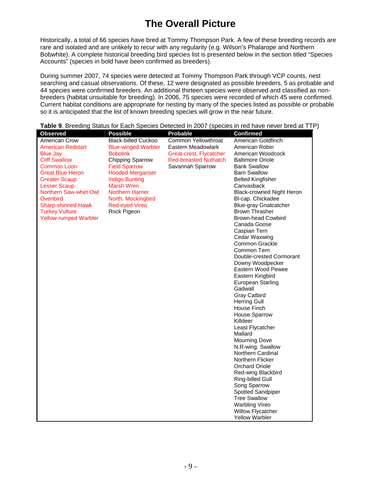# **The Overall Picture**

Historically, a total of 66 species have bred at Tommy Thompson Park. A few of these breeding records are rare and isolated and are unlikely to recur with any regularity (e.g. Wilson's Phalarope and Northern Bobwhite). A complete historical breeding bird species list is presented below in the section titled "Species Accounts" (species in bold have been confirmed as breeders).

During summer 2007, 74 species were detected at Tommy Thompson Park through VCP counts, nest searching and casual observations. Of these, 12 were designated as possible breeders, 5 as probable and 44 species were confirmed breeders. An additional thirteen species were observed and classified as nonbreeders (habitat unsuitable for breeding). In 2006, 75 species were recorded of which 45 were confirmed. Current habitat conditions are appropriate for nesting by many of the species listed as possible or probable so it is anticipated that the list of known breeding species will grow in the near future.

| <b>Observed</b>              | <b>Possible</b>            | <b>Probable</b>              | <b>Confirmed</b>                 |
|------------------------------|----------------------------|------------------------------|----------------------------------|
| American Crow                | <b>Black-billed Cuckoo</b> | Common Yellowthroat          | American Goldfinch               |
| <b>American Redstart</b>     | <b>Blue-winged Warbler</b> | Eastern Meadowlark           | American Robin                   |
| <b>Blue Jay</b>              | <b>Bobolink</b>            | Great-crest. Flycatcher      | American Woodcock                |
| <b>Cliff Swallow</b>         | Chipping Sparrow           | <b>Red-breasted Nuthatch</b> | <b>Baltimore Oriole</b>          |
| <b>Common Loon</b>           | <b>Field Sparrow</b>       | Savannah Sparrow             | <b>Bank Swallow</b>              |
| <b>Great Blue Heron</b>      | <b>Hooded Merganser</b>    |                              | <b>Barn Swallow</b>              |
| <b>Greater Scaup</b>         | <b>Indigo Bunting</b>      |                              | <b>Belted Kingfisher</b>         |
| <b>Lesser Scaup</b>          | <b>Marsh Wren</b>          |                              | Canvasback                       |
| Northern Saw-whet Owl        | <b>Northern Harrier</b>    |                              | <b>Black-crowned Night Heron</b> |
| Ovenbird                     | North. Mockingbird         |                              | BI-cap. Chickadee                |
| <b>Sharp-shinned Hawk</b>    | <b>Red-eyed Vireo</b>      |                              | <b>Blue-gray Gnatcatcher</b>     |
| <b>Turkey Vulture</b>        | Rock Pigeon                |                              | <b>Brown Thrasher</b>            |
| <b>Yellow-rumped Warbler</b> |                            |                              | <b>Brown-head Cowbird</b>        |
|                              |                            |                              | Canada Goose                     |
|                              |                            |                              | Caspian Tern                     |
|                              |                            |                              | Cedar Waxwing                    |
|                              |                            |                              | Common Grackle                   |
|                              |                            |                              | Common Tern                      |
|                              |                            |                              | Double-crested Cormorant         |
|                              |                            |                              | Downy Woodpecker                 |
|                              |                            |                              | Eastern Wood Pewee               |
|                              |                            |                              | Eastern Kingbird                 |
|                              |                            |                              | European Starling                |
|                              |                            |                              | Gadwall                          |
|                              |                            |                              | <b>Gray Catbird</b>              |
|                              |                            |                              | <b>Herring Gull</b>              |
|                              |                            |                              | House Finch                      |
|                              |                            |                              | <b>House Sparrow</b>             |
|                              |                            |                              | Killdeer                         |
|                              |                            |                              | Least Flycatcher                 |
|                              |                            |                              | Mallard                          |
|                              |                            |                              | <b>Mourning Dove</b>             |
|                              |                            |                              | N.R-wing. Swallow                |
|                              |                            |                              | Northern Cardinal                |
|                              |                            |                              | Northern Flicker                 |
|                              |                            |                              | <b>Orchard Oriole</b>            |
|                              |                            |                              | Red-wing Blackbird               |
|                              |                            |                              | Ring-billed Gull                 |
|                              |                            |                              | Song Sparrow                     |
|                              |                            |                              | Spotted Sandpiper                |
|                              |                            |                              | <b>Tree Swallow</b>              |
|                              |                            |                              | <b>Warbling Vireo</b>            |
|                              |                            |                              | Willow Flycatcher                |
|                              |                            |                              | <b>Yellow Warbler</b>            |

**Table 9**. Breeding Status for Each Species Detected In 2007 (species in red have never bred at TTP)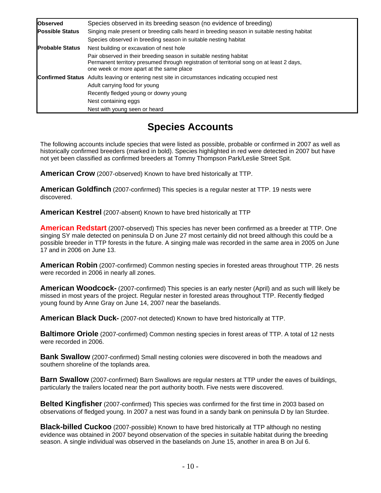| <b>Observed</b>        | Species observed in its breeding season (no evidence of breeding)                                                                                                                                           |
|------------------------|-------------------------------------------------------------------------------------------------------------------------------------------------------------------------------------------------------------|
| <b>Possible Status</b> | Singing male present or breeding calls heard in breeding season in suitable nesting habitat                                                                                                                 |
|                        | Species observed in breeding season in suitable nesting habitat                                                                                                                                             |
| <b>Probable Status</b> | Nest building or excavation of nest hole                                                                                                                                                                    |
|                        | Pair observed in their breeding season in suitable nesting habitat<br>Permanent territory presumed through registration of territorial song on at least 2 days,<br>one week or more apart at the same place |
|                        | <b>Confirmed Status</b> Adults leaving or entering nest site in circumstances indicating occupied nest<br>Adult carrying food for young                                                                     |
|                        | Recently fledged young or downy young                                                                                                                                                                       |
|                        | Nest containing eggs                                                                                                                                                                                        |
|                        | Nest with young seen or heard                                                                                                                                                                               |

# **Species Accounts**

The following accounts include species that were listed as possible, probable or confirmed in 2007 as well as historically confirmed breeders (marked in bold). Species highlighted in red were detected in 2007 but have not yet been classified as confirmed breeders at Tommy Thompson Park/Leslie Street Spit.

**American Crow** (2007-observed) Known to have bred historically at TTP.

**American Goldfinch** (2007-confirmed) This species is a regular nester at TTP. 19 nests were discovered.

**American Kestrel** (2007-absent) Known to have bred historically at TTP

**American Redstart** (2007-observed) This species has never been confirmed as a breeder at TTP. One singing SY male detected on peninsula D on June 27 most certainly did not breed although this could be a possible breeder in TTP forests in the future. A singing male was recorded in the same area in 2005 on June 17 and in 2006 on June 13.

**American Robin** (2007-confirmed) Common nesting species in forested areas throughout TTP. 26 nests were recorded in 2006 in nearly all zones.

**American Woodcock-** (2007-confirmed) This species is an early nester (April) and as such will likely be missed in most years of the project. Regular nester in forested areas throughout TTP. Recently fledged young found by Anne Gray on June 14, 2007 near the baselands.

**American Black Duck-** (2007-not detected) Known to have bred historically at TTP.

**Baltimore Oriole** (2007-confirmed) Common nesting species in forest areas of TTP. A total of 12 nests were recorded in 2006.

**Bank Swallow** (2007-confirmed) Small nesting colonies were discovered in both the meadows and southern shoreline of the toplands area.

**Barn Swallow** (2007-confirmed) Barn Swallows are regular nesters at TTP under the eaves of buildings, particularly the trailers located near the port authority booth. Five nests were discovered.

**Belted Kingfisher** (2007-confirmed) This species was confirmed for the first time in 2003 based on observations of fledged young. In 2007 a nest was found in a sandy bank on peninsula D by Ian Sturdee.

**Black-billed Cuckoo** (2007-possible) Known to have bred historically at TTP although no nesting evidence was obtained in 2007 beyond observation of the species in suitable habitat during the breeding season. A single individual was observed in the baselands on June 15, another in area B on Jul 6.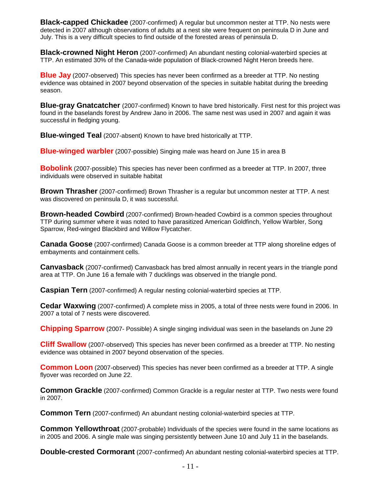**Black-capped Chickadee** (2007-confirmed) A regular but uncommon nester at TTP. No nests were detected in 2007 although observations of adults at a nest site were frequent on peninsula D in June and July. This is a very difficult species to find outside of the forested areas of peninsula D.

**Black-crowned Night Heron** (2007-confirmed) An abundant nesting colonial-waterbird species at TTP. An estimated 30% of the Canada-wide population of Black-crowned Night Heron breeds here.

**Blue Jay** (2007-observed) This species has never been confirmed as a breeder at TTP. No nesting evidence was obtained in 2007 beyond observation of the species in suitable habitat during the breeding season.

**Blue-gray Gnatcatcher** (2007-confirmed) Known to have bred historically. First nest for this project was found in the baselands forest by Andrew Jano in 2006. The same nest was used in 2007 and again it was successful in fledging young.

**Blue-winged Teal** (2007-absent) Known to have bred historically at TTP.

**Blue-winged warbler** (2007-possible) Singing male was heard on June 15 in area B

**Bobolink** (2007-possible) This species has never been confirmed as a breeder at TTP. In 2007, three individuals were observed in suitable habitat

**Brown Thrasher** (2007-confirmed) Brown Thrasher is a regular but uncommon nester at TTP. A nest was discovered on peninsula D, it was successful.

**Brown-headed Cowbird** (2007-confirmed) Brown-headed Cowbird is a common species throughout TTP during summer where it was noted to have parasitized American Goldfinch, Yellow Warbler, Song Sparrow, Red-winged Blackbird and Willow Flycatcher.

**Canada Goose** (2007-confirmed) Canada Goose is a common breeder at TTP along shoreline edges of embayments and containment cells.

**Canvasback** (2007-confirmed) Canvasback has bred almost annually in recent years in the triangle pond area at TTP. On June 16 a female with 7 ducklings was observed in the triangle pond.

**Caspian Tern** (2007-confirmed) A regular nesting colonial-waterbird species at TTP.

**Cedar Waxwing** (2007-confirmed) A complete miss in 2005, a total of three nests were found in 2006. In 2007 a total of 7 nests were discovered.

**Chipping Sparrow** (2007- Possible) A single singing individual was seen in the baselands on June 29

**Cliff Swallow** (2007-observed) This species has never been confirmed as a breeder at TTP. No nesting evidence was obtained in 2007 beyond observation of the species.

**Common Loon** (2007-observed) This species has never been confirmed as a breeder at TTP. A single flyover was recorded on June 22.

**Common Grackle** (2007-confirmed) Common Grackle is a regular nester at TTP. Two nests were found in 2007.

**Common Tern** (2007-confirmed) An abundant nesting colonial-waterbird species at TTP.

**Common Yellowthroat** (2007-probable) Individuals of the species were found in the same locations as in 2005 and 2006. A single male was singing persistently between June 10 and July 11 in the baselands.

**Double-crested Cormorant** (2007-confirmed) An abundant nesting colonial-waterbird species at TTP.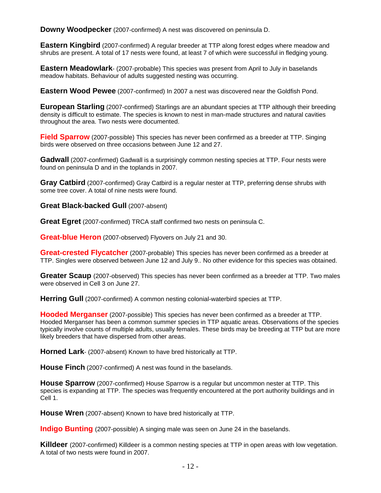**Downy Woodpecker** (2007-confirmed) A nest was discovered on peninsula D.

**Eastern Kingbird** (2007-confirmed) A regular breeder at TTP along forest edges where meadow and shrubs are present. A total of 17 nests were found, at least 7 of which were successful in fledging young.

**Eastern Meadowlark**- (2007-probable) This species was present from April to July in baselands meadow habitats. Behaviour of adults suggested nesting was occurring.

**Eastern Wood Pewee** (2007-confirmed) In 2007 a nest was discovered near the Goldfish Pond.

**European Starling** (2007-confirmed) Starlings are an abundant species at TTP although their breeding density is difficult to estimate. The species is known to nest in man-made structures and natural cavities throughout the area. Two nests were documented.

**Field Sparrow** (2007-possible) This species has never been confirmed as a breeder at TTP. Singing birds were observed on three occasions between June 12 and 27.

Gadwall (2007-confirmed) Gadwall is a surprisingly common nesting species at TTP. Four nests were found on peninsula D and in the toplands in 2007.

**Gray Catbird** (2007-confirmed) Gray Catbird is a regular nester at TTP, preferring dense shrubs with some tree cover. A total of nine nests were found.

**Great Black-backed Gull** (2007-absent)

**Great Egret** (2007-confirmed) TRCA staff confirmed two nests on peninsula C.

**Great-blue Heron** (2007-observed) Flyovers on July 21 and 30.

**Great-crested Flycatcher** (2007-probable) This species has never been confirmed as a breeder at TTP. Singles were observed between June 12 and July 9.. No other evidence for this species was obtained.

**Greater Scaup** (2007-observed) This species has never been confirmed as a breeder at TTP. Two males were observed in Cell 3 on June 27.

**Herring Gull** (2007-confirmed) A common nesting colonial-waterbird species at TTP.

**Hooded Merganser** (2007-possible) This species has never been confirmed as a breeder at TTP. Hooded Merganser has been a common summer species in TTP aquatic areas. Observations of the species typically involve counts of multiple adults, usually females. These birds may be breeding at TTP but are more likely breeders that have dispersed from other areas.

**Horned Lark**- (2007-absent) Known to have bred historically at TTP.

**House Finch** (2007-confirmed) A nest was found in the baselands.

**House Sparrow** (2007-confirmed) House Sparrow is a regular but uncommon nester at TTP. This species is expanding at TTP. The species was frequently encountered at the port authority buildings and in Cell 1.

**House Wren** (2007-absent) Known to have bred historically at TTP.

**Indigo Bunting** (2007-possible) A singing male was seen on June 24 in the baselands.

**Killdeer** (2007-confirmed) Killdeer is a common nesting species at TTP in open areas with low vegetation. A total of two nests were found in 2007.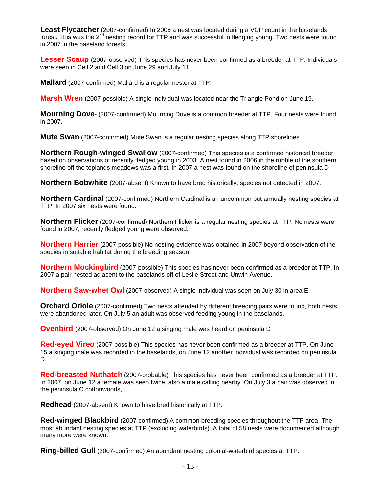**Least Flycatcher** (2007-confirmed) In 2006 a nest was located during a VCP count in the baselands forest. This was the 2<sup>nd</sup> nesting record for TTP and was successful in fledging young. Two nests were found in 2007 in the baseland forests.

**Lesser Scaup** (2007-observed) This species has never been confirmed as a breeder at TTP. Individuals were seen in Cell 2 and Cell 3 on June 29 and July 11.

**Mallard** (2007-confirmed) Mallard is a regular nester at TTP.

**Marsh Wren** (2007-possible) A single individual was located near the Triangle Pond on June 19.

**Mourning Dove**- (2007-confirmed) Mourning Dove is a common breeder at TTP. Four nests were found in 2007.

**Mute Swan** (2007-confirmed) Mute Swan is a regular nesting species along TTP shorelines.

**Northern Rough-winged Swallow** (2007-confirmed) This species is a confirmed historical breeder based on observations of recently fledged young in 2003. A nest found in 2006 in the rubble of the southern shoreline off the toplands meadows was a first. In 2007 a nest was found on the shoreline of peninsula D

**Northern Bobwhite** (2007-absent) Known to have bred historically, species not detected in 2007.

**Northern Cardinal** (2007-confirmed) Northern Cardinal is an uncommon but annually nesting species at TTP. In 2007 six nests were found.

**Northern Flicker** (2007-confirmed) Northern Flicker is a regular nesting species at TTP. No nests were found in 2007, recently fledged young were observed.

**Northern Harrier** (2007-possible) No nesting evidence was obtained in 2007 beyond observation of the species in suitable habitat during the breeding season.

**Northern Mockingbird** (2007-possible) This species has never been confirmed as a breeder at TTP. In 2007 a pair nested adjacent to the baselands off of Leslie Street and Unwin Avenue.

**Northern Saw-whet Owl** (2007-observed) A single individual was seen on July 30 in area E.

**Orchard Oriole** (2007-confirmed) Two nests attended by different breeding pairs were found, both nests were abandoned later. On July 5 an adult was observed feeding young in the baselands.

**Ovenbird** (2007-observed) On June 12 a singing male was heard on peninsula D

**Red-eyed Vireo** (2007-possible) This species has never been confirmed as a breeder at TTP. On June 15 a singing male was recorded in the baselands, on June 12 another individual was recorded on peninsula D.

**Red-breasted Nuthatch** (2007-probable) This species has never been confirmed as a breeder at TTP. In 2007, on June 12 a female was seen twice, also a male calling nearby. On July 3 a pair was observed in the peninsula C cottonwoods,

**Redhead** (2007-absent) Known to have bred historically at TTP.

**Red-winged Blackbird** (2007-confirmed) A common breeding species throughout the TTP area. The most abundant nesting species at TTP (excluding waterbirds). A total of 58 nests were documented although many more were known.

**Ring-billed Gull** (2007-confirmed) An abundant nesting colonial-waterbird species at TTP.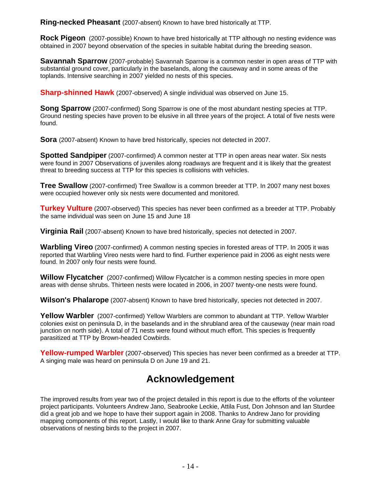**Ring-necked Pheasant** (2007-absent) Known to have bred historically at TTP.

**Rock Pigeon** (2007-possible) Known to have bred historically at TTP although no nesting evidence was obtained in 2007 beyond observation of the species in suitable habitat during the breeding season.

**Savannah Sparrow** (2007-probable) Savannah Sparrow is a common nester in open areas of TTP with substantial ground cover, particularly in the baselands, along the causeway and in some areas of the toplands. Intensive searching in 2007 yielded no nests of this species.

**Sharp-shinned Hawk** (2007-observed) A single individual was observed on June 15.

**Song Sparrow** (2007-confirmed) Song Sparrow is one of the most abundant nesting species at TTP. Ground nesting species have proven to be elusive in all three years of the project. A total of five nests were found.

**Sora** (2007-absent) Known to have bred historically, species not detected in 2007.

**Spotted Sandpiper** (2007-confirmed) A common nester at TTP in open areas near water. Six nests were found in 2007 Observations of juveniles along roadways are frequent and it is likely that the greatest threat to breeding success at TTP for this species is collisions with vehicles.

**Tree Swallow** (2007-confirmed) Tree Swallow is a common breeder at TTP. In 2007 many nest boxes were occupied however only six nests were documented and monitored.

**Turkey Vulture** (2007-observed) This species has never been confirmed as a breeder at TTP. Probably the same individual was seen on June 15 and June 18

**Virginia Rail** (2007-absent) Known to have bred historically, species not detected in 2007.

**Warbling Vireo** (2007-confirmed) A common nesting species in forested areas of TTP. In 2005 it was reported that Warbling Vireo nests were hard to find. Further experience paid in 2006 as eight nests were found. In 2007 only four nests were found.

**Willow Flycatcher** (2007-confirmed) Willow Flycatcher is a common nesting species in more open areas with dense shrubs. Thirteen nests were located in 2006, in 2007 twenty-one nests were found.

**Wilson's Phalarope** (2007-absent) Known to have bred historically, species not detected in 2007.

**Yellow Warbler** (2007-confirmed) Yellow Warblers are common to abundant at TTP. Yellow Warbler colonies exist on peninsula D, in the baselands and in the shrubland area of the causeway (near main road junction on north side). A total of 71 nests were found without much effort. This species is frequently parasitized at TTP by Brown-headed Cowbirds.

**Yellow-rumped Warbler** (2007-observed) This species has never been confirmed as a breeder at TTP. A singing male was heard on peninsula D on June 19 and 21.

# **Acknowledgement**

The improved results from year two of the project detailed in this report is due to the efforts of the volunteer project participants. Volunteers Andrew Jano, Seabrooke Leckie, Attila Fust, Don Johnson and Ian Sturdee did a great job and we hope to have their support again in 2008. Thanks to Andrew Jano for providing mapping components of this report. Lastly, I would like to thank Anne Gray for submitting valuable observations of nesting birds to the project in 2007.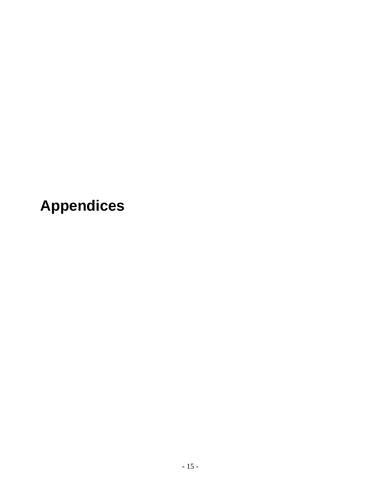**Appendices**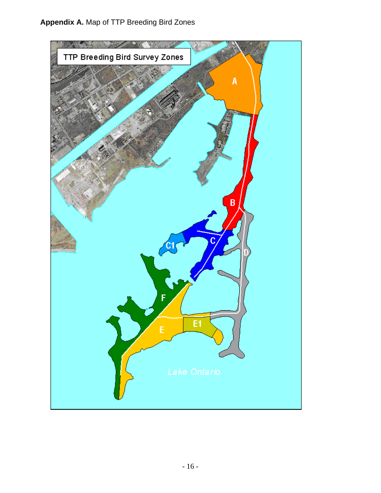# **Appendix A.** Map of TTP Breeding Bird Zones

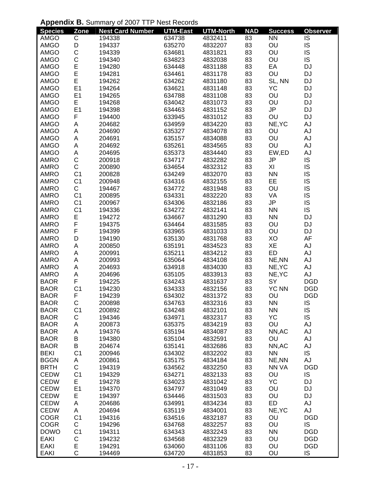### **Appendix B.** Summary of 2007 TTP Nest Records

| <b>Species</b>             | Zone           | <b>Nest Card Number</b> | <b>UTM-East</b>  | <b>UTM-North</b>   | <b>NAD</b> | <b>Success</b> | <b>Observer</b>  |
|----------------------------|----------------|-------------------------|------------------|--------------------|------------|----------------|------------------|
| <b>AMGO</b>                | $\mathsf C$    | 194338                  | 634738           | 4832411            | 83         | <b>NN</b>      | IS               |
| <b>AMGO</b>                | D              | 194337                  | 635270           | 4832207            | 83         | OU             | IS               |
| AMGO                       | $\mathsf{C}$   | 194339                  | 634681           | 4831821            | 83         | OU             | IS               |
| AMGO                       |                | 194340                  | 634823           | 4832038            | 83         | OU             | IS               |
| AMGO                       | C<br>E<br>E    | 194280                  | 634448           | 4831188            | 83         | EA             | DJ               |
| AMGO                       |                | 194281                  | 634461           | 4831178            | 83         | OU             | DJ               |
| AMGO                       | E              | 194262                  | 634262           | 4831180            | 83         | SL, NN         | DJ               |
| <b>AMGO</b>                | E1             | 194264                  | 634621           | 4831148            | 83         | <b>YC</b>      | DJ               |
| AMGO                       | E <sub>1</sub> | 194265                  | 634788           | 4831108            | 83         | OU             | <b>DJ</b>        |
| AMGO                       | E              | 194268                  | 634042           | 4831073            | 83         | OU             | <b>DJ</b>        |
| AMGO                       | E <sub>1</sub> | 194398                  | 634463           | 4831152            | 83         | <b>JP</b>      | <b>DJ</b>        |
| AMGO                       | F              | 194400                  | 633945           | 4831012            | 83         | OU             | <b>DJ</b>        |
| AMGO                       | A              | 204682                  | 634959           | 4834220            | 83         | NE, YC         | AJ               |
| <b>AMGO</b>                | A              | 204690                  | 635327           | 4834078            | 83         | OU             | AJ               |
| AMGO                       | A              | 204691                  | 635157           | 4834088            | 83         | OU             | AJ               |
| AMGO                       | A              | 204692                  | 635261           | 4834565            | 83         | OU             | AJ               |
| <b>AMGO</b>                | A              | 204695                  | 635373           | 4834440            | 83         | EW,ED          | AJ               |
| AMRO                       | $\mathbf C$    | 200918                  | 634717           | 4832282            | 83         | JP             | IS               |
| AMRO                       | $\mathsf{C}$   | 200890                  | 634654           | 4832312            | 83         | XI             | IS               |
| <b>AMRO</b>                | C <sub>1</sub> | 200828                  | 634249           | 4832070            | 83         | <b>NN</b>      | IS               |
| <b>AMRO</b>                | C <sub>1</sub> | 200948                  | 634316           | 4832155            | 83         | EE             | IS               |
| <b>AMRO</b>                | $\mathsf C$    | 194467                  | 634772           | 4831948            | 83         | OU             | IS               |
| <b>AMRO</b>                | C <sub>1</sub> | 200895                  | 634331           | 4832220            | 83         | VA             | IS               |
| AMRO                       | C <sub>1</sub> | 200967                  | 634306           | 4832186            | 83         | JP             | IS               |
| AMRO                       | C <sub>1</sub> | 194336                  | 634272           | 4832141            | 83         | <b>NN</b>      | IS               |
| <b>AMRO</b>                | E<br>F         | 194272                  | 634667           | 4831290            | 83         | <b>NN</b>      | DJ               |
| AMRO                       |                | 194375                  | 634464           | 4831585            | 83         | OU             | DJ               |
| <b>AMRO</b>                | F              | 194399                  | 633965           | 4831033            | 83         | OU             | <b>DJ</b>        |
| <b>AMRO</b>                | D              | 194190                  | 635130           | 4831768            | 83         | XO             | AF               |
| AMRO                       | A              | 200850                  | 635191           | 4834523            | 83         | XE             | AJ               |
| AMRO                       | A              | 200991                  | 635211           | 4834212            | 83         | <b>ED</b>      | AJ               |
| <b>AMRO</b>                | A              | 200993                  | 635064           | 4834108            | 83         | NE, NN         | AJ               |
| <b>AMRO</b><br><b>AMRO</b> | A              | 204693                  | 634918           | 4834030            | 83         | NE, YC         | AJ               |
| <b>BAOR</b>                | A<br>F         | 204696                  | 635105           | 4833913            | 83         | NE, YC<br>SY   | AJ<br><b>DGD</b> |
| <b>BAOR</b>                | C <sub>1</sub> | 194225<br>194230        | 634243<br>634333 | 4831637<br>4832156 | 83<br>83   | <b>YC NN</b>   | <b>DGD</b>       |
| <b>BAOR</b>                | F              | 194239                  | 634302           | 4831372            | 83         | OU             | <b>DGD</b>       |
| <b>BAOR</b>                | $\mathsf{C}$   | 200898                  | 634763           | 4832316            | 83         | <b>NN</b>      | IS               |
| <b>BAOR</b>                | C <sub>1</sub> | 200892                  | 634248           | 4832101            | 83         | <b>NN</b>      | IS               |
| <b>BAOR</b>                | C              | 194346                  | 634971           | 4832317            | 83         | YC             | IS               |
| <b>BAOR</b>                | Α              | 200873                  | 635375           | 4834219            | 83         | OU             | AJ               |
| <b>BAOR</b>                | A              | 194376                  | 635194           | 4834087            | 83         | NN, AC         | AJ               |
| <b>BAOR</b>                | $\sf B$        | 194380                  | 635104           | 4832591            | 83         | OU             | AJ               |
| <b>BAOR</b>                | B              | 204674                  | 635141           | 4832686            | 83         | NN, AC         | AJ               |
| <b>BEKI</b>                | C <sub>1</sub> | 200946                  | 634302           | 4832202            | 83         | <b>NN</b>      | IS               |
| <b>BGGN</b>                | Α              | 200861                  | 635175           | 4834184            | 83         | NE, NN         | AJ               |
| <b>BRTH</b>                | $\mathsf C$    | 194319                  | 634562           | 4832250            | 83         | NN VA          | <b>DGD</b>       |
| <b>CEDW</b>                | C <sub>1</sub> | 194329                  | 634271           | 4832133            | 83         | OU             | IS               |
| <b>CEDW</b>                | E              | 194278                  | 634023           | 4831042            | 83         | YC             | <b>DJ</b>        |
| <b>CEDW</b>                | E <sub>1</sub> | 194370                  | 634797           | 4831049            | 83         | OU             | DJ               |
| <b>CEDW</b>                | E              | 194397                  | 634446           | 4831503            | 83         | OU             | <b>DJ</b>        |
| <b>CEDW</b>                | Α              | 204686                  | 634991           | 4834234            | 83         | ED             | AJ               |
| <b>CEDW</b>                | А              | 204694                  | 635119           | 4834001            | 83         | NE, YC         | AJ               |
| <b>COGR</b>                | C <sub>1</sub> | 194316                  | 634516           | 4832187            | 83         | OU             | <b>DGD</b>       |
| <b>COGR</b>                | $\mathsf C$    | 194296                  | 634768           | 4832257            | 83         | OU             | IS               |
| <b>DOWO</b>                | C <sub>1</sub> | 194311                  | 634343           | 4832243            | 83         | <b>NN</b>      | <b>DGD</b>       |
| <b>EAKI</b>                | С              | 194232                  | 634568           | 4832329            | 83         | OU             | <b>DGD</b>       |
| <b>EAKI</b>                | E              | 194291                  | 634060           | 4831106            | 83         | OU             | <b>DGD</b>       |
| <b>EAKI</b>                | $\mathsf{C}$   | 194469                  | 634720           | 4831853            | 83         | OU             | IS               |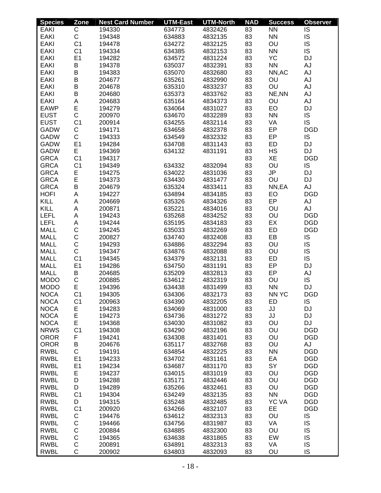| <b>Species</b> | Zone                | <b>Nest Card Number</b> | <b>UTM-East</b>  | <b>UTM-North</b> | <b>NAD</b> | <b>Success</b> | <b>Observer</b>        |
|----------------|---------------------|-------------------------|------------------|------------------|------------|----------------|------------------------|
| <b>EAKI</b>    | С                   | 194330                  | 634773           | 4832426          | 83         | <b>NN</b>      | IS                     |
| <b>EAKI</b>    | $\mathsf C$         | 194348                  | 634883           | 4832135          | 83         | <b>NN</b>      | IS                     |
| <b>EAKI</b>    | C <sub>1</sub>      | 194478                  | 634272           | 4832125          | 83         | OU             | IS                     |
| <b>EAKI</b>    | C <sub>1</sub>      | 194334                  | 634385           | 4832153          | 83         | <b>NN</b>      | <b>IS</b>              |
| EAKI           | E <sub>1</sub>      | 194282                  | 634572           | 4831224          | 83         | <b>YC</b>      | <b>DJ</b>              |
| EAKI           | B                   | 194378                  | 635037           | 4832391          | 83         | <b>NN</b>      | <b>AJ</b>              |
| EAKI           | B                   | 194383                  | 635070           | 4832680          | 83         | NN, AC         | AJ                     |
| <b>EAKI</b>    | B                   | 204677                  | 635261           | 4832990          | 83         | OU             | AJ                     |
| EAKI           | B                   | 204678                  | 635310           | 4833237          | 83         | OU             | AJ                     |
| EAKI           | B                   | 204680                  | 635373           | 4833762          | 83         | NE, NN         | AJ                     |
| <b>EAKI</b>    | A                   | 204683                  | 635164           | 4834373          | 83         | OU             | AJ                     |
| <b>EAWP</b>    | E                   | 194279                  | 634064           | 4831027          | 83         | EO             | DJ                     |
| <b>EUST</b>    | $\mathsf{C}$        | 200970                  | 634670           | 4832289          | 83         | <b>NN</b>      | IS                     |
| <b>EUST</b>    | C <sub>1</sub>      | 200914                  | 634255           | 4832114          | 83         | VA             | <b>IS</b>              |
| <b>GADW</b>    | C                   | 194171                  | 634658           | 4832378          | 83         | EP             | <b>DGD</b>             |
|                | $\mathsf C$         |                         |                  |                  | 83         | EP             | IS                     |
| <b>GADW</b>    |                     | 194333                  | 634549<br>634708 | 4832332          |            |                |                        |
| <b>GADW</b>    | E <sub>1</sub><br>E | 194284                  |                  | 4831143          | 83         | <b>ED</b>      | <b>DJ</b><br><b>DJ</b> |
| <b>GADW</b>    |                     | 194369                  | 634132           | 4831191          | 83         | <b>HS</b>      |                        |
| <b>GRCA</b>    | C <sub>1</sub>      | 194317                  |                  |                  | 83         | XE             | <b>DGD</b>             |
| <b>GRCA</b>    | C <sub>1</sub>      | 194349                  | 634332           | 4832094          | 83         | OU             | IS                     |
| <b>GRCA</b>    | E                   | 194275                  | 634022           | 4831036          | 83         | JP             | DJ                     |
| <b>GRCA</b>    | E                   | 194373                  | 634430           | 4831477          | 83         | OU             | DJ                     |
| <b>GRCA</b>    | B                   | 204679                  | 635324           | 4833411          | 83         | NN,EA          | AJ                     |
| <b>HOFI</b>    | A                   | 194227                  | 634894           | 4834185          | 83         | EO             | <b>DGD</b>             |
| KILL           | A                   | 204669                  | 635326           | 4834326          | 83         | EP             | AJ                     |
| KILL           | A                   | 200871                  | 635221           | 4834016          | 83         | OU             | <b>AJ</b>              |
| <b>LEFL</b>    | A                   | 194243                  | 635268           | 4834252          | 83         | OU             | <b>DGD</b>             |
| <b>LEFL</b>    | Α                   | 194244                  | 635195           | 4834183          | 83         | EX             | <b>DGD</b>             |
| <b>MALL</b>    | $\mathsf C$         | 194245                  | 635033           | 4832269          | 83         | ED             | <b>DGD</b>             |
| <b>MALL</b>    | $\mathsf C$         | 200827                  | 634740           | 4832408          | 83         | EB             | IS                     |
| <b>MALL</b>    | $\mathsf C$         | 194293                  | 634886           | 4832294          | 83         | OU             | IS                     |
| <b>MALL</b>    | $\mathsf C$         | 194347                  | 634876           | 4832088          | 83         | OU             | IS                     |
| <b>MALL</b>    | C <sub>1</sub>      | 194345                  | 634379           | 4832131          | 83         | ED             | <b>IS</b>              |
| <b>MALL</b>    | E <sub>1</sub>      | 194286                  | 634750           | 4831191          | 83         | EP             | DJ                     |
| <b>MALL</b>    | B                   | 204685                  | 635209           | 4832813          | 83         | EP             | AJ                     |
| <b>MODO</b>    | C                   | 200885                  | 634612           | 4832319          | 83         | OU             | <b>IS</b>              |
| <b>MODO</b>    | E                   | 194396                  | 634438           | 4831499          | 83         | <b>NN</b>      | <b>DJ</b>              |
| <b>NOCA</b>    | C <sub>1</sub>      | 194305                  | 634306           | 4832173          | 83         | <b>NN YC</b>   | <b>DGD</b>             |
| <b>NOCA</b>    | C <sub>1</sub>      | 200963                  | 634390           | 4832205          | 83         | ED             | IS                     |
| <b>NOCA</b>    | E                   | 194283                  | 634069           | 4831000          | 83         | JJ             | DJ                     |
| <b>NOCA</b>    | E                   | 194273                  | 634736           | 4831272          | 83         | JJ             | <b>DJ</b>              |
| <b>NOCA</b>    | E                   | 194368                  | 634030           | 4831082          | 83         | OU             | DJ                     |
| <b>NRWS</b>    | C <sub>1</sub>      | 194308                  | 634290           | 4832196          | 83         | OU             | <b>DGD</b>             |
| <b>OROR</b>    | F                   | 194241                  | 634308           | 4831401          | 83         | OU             | <b>DGD</b>             |
| <b>OROR</b>    | В                   | 204676                  | 635117           | 4832768          | 83         | OU             | <b>AJ</b>              |
| <b>RWBL</b>    | C                   | 194191                  | 634854           | 4832225          | 83         | <b>NN</b>      | <b>DGD</b>             |
| <b>RWBL</b>    | E <sub>1</sub>      | 194233                  | 634702           | 4831161          | 83         | EA             | <b>DGD</b>             |
| <b>RWBL</b>    | E <sub>1</sub>      | 194234                  | 634687           | 4831170          | 83         | SY             | <b>DGD</b>             |
| <b>RWBL</b>    | E                   | 194237                  | 634015           | 4831019          | 83         | OU             | <b>DGD</b>             |
| <b>RWBL</b>    | D                   | 194288                  | 635171           | 4832446          | 83         | OU             | <b>DGD</b>             |
| <b>RWBL</b>    | D                   | 194289                  | 635266           | 4832461          | 83         | OU             | <b>DGD</b>             |
| <b>RWBL</b>    | C <sub>1</sub>      | 194304                  | 634249           | 4832135          | 83         | <b>NN</b>      | <b>DGD</b>             |
| <b>RWBL</b>    | D                   | 194315                  | 635248           | 4832485          | 83         | <b>YC VA</b>   | <b>DGD</b>             |
| <b>RWBL</b>    | C <sub>1</sub>      | 200920                  | 634266           | 4832107          | 83         | EE             | <b>DGD</b>             |
| <b>RWBL</b>    | C                   | 194476                  | 634612           | 4832313          | 83         | OU             | IS                     |
| <b>RWBL</b>    | C                   | 194466                  | 634756           | 4831987          | 83         | VA             | IS                     |
| <b>RWBL</b>    | C                   | 200884                  | 634885           | 4832300          | 83         | OU             | IS                     |
| <b>RWBL</b>    | $\mathsf C$         | 194365                  | 634638           | 4831865          | 83         | EW             | IS                     |
| <b>RWBL</b>    | C                   | 200891                  | 634891           | 4832313          | 83         | VA             | IS                     |
| <b>RWBL</b>    | C                   | 200902                  | 634803           | 4832093          | 83         | OU             | IS                     |
|                |                     |                         |                  |                  |            |                |                        |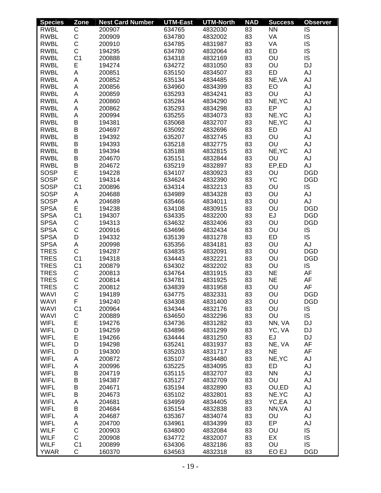| <b>Species</b> | Zone           | <b>Nest Card Number</b> | <b>UTM-East</b> | <b>UTM-North</b> | <b>NAD</b> | <b>Success</b> | <b>Observer</b> |
|----------------|----------------|-------------------------|-----------------|------------------|------------|----------------|-----------------|
| <b>RWBL</b>    | C              | 200907                  | 634765          | 4832030          | 83         | <b>NN</b>      | IS              |
| <b>RWBL</b>    | $\mathsf C$    | 200909                  | 634780          | 4832002          | 83         | VA             | IS              |
| <b>RWBL</b>    | $\mathsf C$    | 200910                  | 634785          | 4831987          | 83         | VA             | IS              |
| <b>RWBL</b>    | $\mathsf C$    | 194295                  | 634780          | 4832064          | 83         | <b>ED</b>      | IS              |
| <b>RWBL</b>    | C <sub>1</sub> | 200888                  | 634318          | 4832169          | 83         | OU             | <b>IS</b>       |
| <b>RWBL</b>    | E              | 194274                  | 634272          | 4831050          | 83         | OU             | <b>DJ</b>       |
| <b>RWBL</b>    | A              | 200851                  | 635150          | 4834507          | 83         | <b>ED</b>      | AJ              |
| <b>RWBL</b>    | A              | 200852                  | 635134          | 4834485          | 83         | NE, VA         | <b>AJ</b>       |
| <b>RWBL</b>    | А              | 200856                  | 634960          | 4834399          | 83         | EO             | AJ              |
| <b>RWBL</b>    | А              | 200859                  | 635293          | 4834241          | 83         | OU             | AJ              |
| <b>RWBL</b>    | A              | 200860                  | 635284          | 4834290          | 83         | NE, YC         | AJ              |
| <b>RWBL</b>    | A              | 200862                  | 635293          | 4834298          | 83         | EP             | AJ              |
| <b>RWBL</b>    | A              | 200994                  | 635255          | 4834073          | 83         | NE.YC          | <b>AJ</b>       |
| <b>RWBL</b>    | B              | 194381                  | 635068          | 4832707          | 83         | NE, YC         | <b>AJ</b>       |
| <b>RWBL</b>    | B              | 204697                  | 635092          | 4832696          | 83         | ED             | AJ              |
| <b>RWBL</b>    | $\sf B$        | 194392                  | 635207          | 4832745          | 83         | OU             | <b>AJ</b>       |
| <b>RWBL</b>    | B              | 194393                  | 635218          | 4832775          | 83         | OU             | <b>AJ</b>       |
| <b>RWBL</b>    | B              | 194394                  | 635188          | 4832815          | 83         | NE, YC         | <b>AJ</b>       |
|                |                |                         |                 |                  |            |                |                 |
| <b>RWBL</b>    | B              | 204670                  | 635151          | 4832844          | 83         | OU             | AJ              |
| <b>RWBL</b>    | B              | 204672                  | 635219          | 4832897          | 83         | EP,ED          | <b>AJ</b>       |
| <b>SOSP</b>    | E              | 194228                  | 634107          | 4830923          | 83         | OU             | <b>DGD</b>      |
| <b>SOSP</b>    | $\mathsf{C}$   | 194314                  | 634624          | 4832390          | 83         | <b>YC</b>      | <b>DGD</b>      |
| <b>SOSP</b>    | C <sub>1</sub> | 200896                  | 634314          | 4832213          | 83         | OU             | IS              |
| <b>SOSP</b>    | А              | 204688                  | 634989          | 4834328          | 83         | OU             | <b>AJ</b>       |
| <b>SOSP</b>    | A              | 204689                  | 635466          | 4834011          | 83         | OU             | AJ              |
| <b>SPSA</b>    | E              | 194238                  | 634108          | 4830915          | 83         | OU             | <b>DGD</b>      |
| <b>SPSA</b>    | C <sub>1</sub> | 194307                  | 634335          | 4832200          | 83         | EJ             | <b>DGD</b>      |
| <b>SPSA</b>    | $\mathsf C$    | 194313                  | 634632          | 4832406          | 83         | OU             | <b>DGD</b>      |
| <b>SPSA</b>    | $\mathsf C$    | 200916                  | 634696          | 4832434          | 83         | OU             | IS              |
| <b>SPSA</b>    | D              | 194332                  | 635139          | 4831278          | 83         | <b>ED</b>      | <b>IS</b>       |
| <b>SPSA</b>    | Α              | 200998                  | 635356          | 4834181          | 83         | OU             | <b>AJ</b>       |
| <b>TRES</b>    | $\mathsf C$    | 194287                  | 634835          | 4832091          | 83         | OU             | <b>DGD</b>      |
| <b>TRES</b>    | C <sub>1</sub> | 194318                  | 634443          | 4832221          | 83         | OU             | <b>DGD</b>      |
| <b>TRES</b>    | C <sub>1</sub> | 200879                  | 634302          | 4832202          | 83         | OU             | IS              |
| <b>TRES</b>    | C              | 200813                  | 634764          | 4831915          | 83         | <b>NE</b>      | AF              |
| <b>TRES</b>    | $\mathsf C$    | 200814                  | 634781          | 4831925          | 83         | <b>NE</b>      | AF              |
| <b>TRES</b>    | $\mathsf{C}$   | 200812                  | 634839          | 4831958          | 83         | OU             | AF              |
| <b>WAVI</b>    | $\overline{C}$ | 194189                  | 634775          | 4832331          | 83         | OU             | <b>DGD</b>      |
| <b>WAVI</b>    | F              | 194240                  | 634308          | 4831400          | 83         | OU             | <b>DGD</b>      |
| <b>WAVI</b>    | C <sub>1</sub> | 200964                  | 634344          | 4832176          | 83         | OU             | IS              |
| <b>WAVI</b>    | C              | 200889                  | 634650          | 4832296          | 83         | OU             | IS              |
| <b>WIFL</b>    | E              | 194276                  | 634736          | 4831282          | 83         | NN, VA         | DJ              |
| <b>WIFL</b>    | D              | 194259                  | 634896          | 4831299          | 83         | YC, VA         | DJ              |
| <b>WIFL</b>    | E              | 194266                  | 634444          | 4831250          | 83         | EJ             | DJ              |
| <b>WIFL</b>    | D              | 194298                  | 635241          | 4831937          | 83         | NE, VA         | AF              |
| <b>WIFL</b>    | D              | 194300                  | 635203          | 4831717          | 83         | <b>NE</b>      | AF              |
| <b>WIFL</b>    | A              | 200872                  | 635107          | 4834480          | 83         | NE, YC         | AJ              |
| <b>WIFL</b>    | Α              | 200996                  | 635225          | 4834095          | 83         | ED             | AJ              |
| <b>WIFL</b>    | B              | 204719                  | 635115          | 4832707          | 83         | <b>NN</b>      | AJ              |
| <b>WIFL</b>    | B              | 194387                  | 635127          | 4832709          | 83         | OU             | AJ              |
| <b>WIFL</b>    | B              | 204671                  | 635194          | 4832890          | 83         | OU,ED          | AJ              |
| <b>WIFL</b>    | B              | 204673                  | 635102          | 4832801          | 83         | NE.YC          | AJ              |
| <b>WIFL</b>    | Α              | 204681                  | 634959          | 4834405          | 83         | YC,EA          | AJ              |
| <b>WIFL</b>    | B              | 204684                  | 635154          | 4832838          | 83         | NN, VA         | AJ              |
|                |                |                         |                 |                  |            |                |                 |
| <b>WIFL</b>    | Α              | 204687                  | 635367          | 4834074          | 83         | OU             | AJ              |
| <b>WIFL</b>    | Α              | 204700                  | 634961          | 4834399          | 83         | EP             | AJ              |
| <b>WILF</b>    | $\mathsf C$    | 200903                  | 634800          | 4832084          | 83         | OU             | IS              |
| <b>WILF</b>    | C              | 200908                  | 634772          | 4832007          | 83         | EX             | IS              |
| <b>WILF</b>    | C <sub>1</sub> | 200899                  | 634306          | 4832186          | 83         | OU             | <b>IS</b>       |
| <b>YWAR</b>    | C              | 160370                  | 634563          | 4832318          | 83         | EO EJ          | <b>DGD</b>      |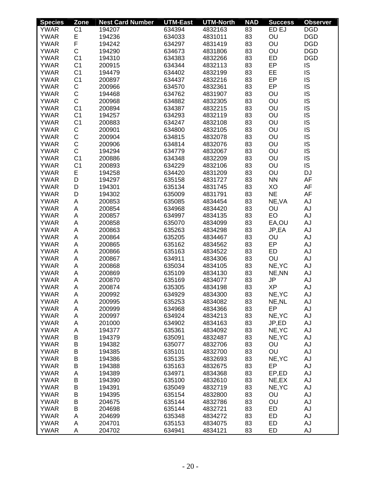| <b>Species</b> | Zone           | <b>Nest Card Number</b> | <b>UTM-East</b> | <b>UTM-North</b> | <b>NAD</b> | <b>Success</b> | <b>Observer</b> |
|----------------|----------------|-------------------------|-----------------|------------------|------------|----------------|-----------------|
| <b>YWAR</b>    | C <sub>1</sub> | 194207                  | 634394          | 4832163          | 83         | ED EJ          | <b>DGD</b>      |
| <b>YWAR</b>    | E              | 194236                  | 634033          | 4831011          | 83         | OU             | <b>DGD</b>      |
| <b>YWAR</b>    | F              | 194242                  | 634297          | 4831419          | 83         | OU             | <b>DGD</b>      |
| <b>YWAR</b>    | $\mathsf C$    | 194290                  | 634673          | 4831806          | 83         | OU             | <b>DGD</b>      |
| <b>YWAR</b>    | C <sub>1</sub> | 194310                  | 634383          | 4832266          | 83         | <b>ED</b>      | <b>DGD</b>      |
| <b>YWAR</b>    | C <sub>1</sub> | 200915                  | 634344          | 4832113          | 83         | EP             | IS              |
| <b>YWAR</b>    | C <sub>1</sub> | 194479                  | 634402          | 4832199          | 83         | EE             | IS              |
| <b>YWAR</b>    | C <sub>1</sub> | 200897                  | 634437          | 4832216          | 83         | EP             | IS              |
| <b>YWAR</b>    | С              | 200966                  | 634570          | 4832361          | 83         | EP             | IS              |
| <b>YWAR</b>    | $\mathsf C$    | 194468                  | 634762          | 4831907          | 83         | OU             | IS              |
| <b>YWAR</b>    | $\mathsf C$    | 200968                  | 634882          | 4832305          | 83         | OU             | IS              |
| <b>YWAR</b>    | C <sub>1</sub> | 200894                  | 634387          | 4832215          | 83         | OU             | IS              |
| <b>YWAR</b>    | C <sub>1</sub> | 194257                  | 634293          | 4832119          | 83         | OU             | IS              |
| <b>YWAR</b>    | C <sub>1</sub> | 200883                  | 634247          | 4832108          | 83         | OU             | IS              |
| <b>YWAR</b>    | $\mathsf C$    |                         |                 |                  | 83         | OU             | IS              |
|                |                | 200901                  | 634800          | 4832105          |            |                |                 |
| <b>YWAR</b>    | $\mathsf C$    | 200904                  | 634815          | 4832078          | 83         | OU             | IS              |
| <b>YWAR</b>    | $\mathsf C$    | 200906                  | 634814          | 4832076          | 83         | OU             | IS              |
| <b>YWAR</b>    | $\mathsf C$    | 194294                  | 634779          | 4832067          | 83         | OU             | IS              |
| <b>YWAR</b>    | C <sub>1</sub> | 200886                  | 634348          | 4832209          | 83         | OU             | IS              |
| <b>YWAR</b>    | C <sub>1</sub> | 200893                  | 634229          | 4832106          | 83         | OU             | <b>IS</b>       |
| <b>YWAR</b>    | Е              | 194258                  | 634420          | 4831209          | 83         | OU             | DJ              |
| <b>YWAR</b>    | D              | 194297                  | 635158          | 4831727          | 83         | <b>NN</b>      | AF              |
| <b>YWAR</b>    | D              | 194301                  | 635134          | 4831745          | 83         | XO             | AF              |
| <b>YWAR</b>    | D              | 194302                  | 635009          | 4831791          | 83         | <b>NE</b>      | AF              |
| <b>YWAR</b>    | A              | 200853                  | 635085          | 4834454          | 83         | NE, VA         | AJ              |
| <b>YWAR</b>    | A              | 200854                  | 634968          | 4834420          | 83         | OU             | AJ              |
| <b>YWAR</b>    | A              | 200857                  | 634997          | 4834135          | 83         | EO             | AJ              |
| <b>YWAR</b>    | A              | 200858                  | 635070          | 4834099          | 83         | EA,OU          | AJ              |
| <b>YWAR</b>    | A              | 200863                  | 635263          | 4834298          | 83         | JP,EA          | AJ              |
| <b>YWAR</b>    | Α              | 200864                  | 635205          | 4834467          | 83         | OU             | AJ              |
| <b>YWAR</b>    | A              | 200865                  | 635162          | 4834562          | 83         | EP             | AJ              |
| <b>YWAR</b>    | A              | 200866                  | 635163          | 4834522          | 83         | <b>ED</b>      | AJ              |
| <b>YWAR</b>    | A              | 200867                  | 634911          | 4834306          | 83         | OU             | AJ              |
| <b>YWAR</b>    | A              | 200868                  | 635034          | 4834105          | 83         | NE, YC         | AJ              |
| <b>YWAR</b>    | А              | 200869                  | 635109          | 4834130          | 83         | NE, NN         | AJ              |
| <b>YWAR</b>    | Α              | 200870                  | 635169          | 4834077          | 83         | JP             | AJ              |
| <b>YWAR</b>    | A              | 200874                  | 635305          | 4834198          | 83         | <b>XP</b>      | AJ              |
| <b>YWAR</b>    |                |                         | 634929          | 4834300          | 83         |                | AJ              |
|                | Α              | 200992                  |                 |                  |            | NE, YC         |                 |
| <b>YWAR</b>    | Α              | 200995                  | 635253          | 4834082          | 83         | NE, NL         | AJ              |
| <b>YWAR</b>    | Α              | 200999                  | 634968          | 4834366          | 83         | EP             | AJ              |
| <b>YWAR</b>    | Α              | 200997                  | 634924          | 4834213          | 83         | NE, YC         | AJ              |
| <b>YWAR</b>    | A              | 201000                  | 634902          | 4834163          | 83         | JP,ED          | AJ              |
| <b>YWAR</b>    | A              | 194377                  | 635361          | 4834092          | 83         | NE, YC         | AJ              |
| <b>YWAR</b>    | B              | 194379                  | 635091          | 4832487          | 83         | NE, YC         | AJ              |
| <b>YWAR</b>    | B              | 194382                  | 635077          | 4832706          | 83         | OU             | AJ              |
| <b>YWAR</b>    | B              | 194385                  | 635101          | 4832700          | 83         | OU             | AJ              |
| <b>YWAR</b>    | B              | 194386                  | 635135          | 4832693          | 83         | NE, YC         | AJ              |
| <b>YWAR</b>    | B              | 194388                  | 635163          | 4832675          | 83         | EP             | AJ              |
| <b>YWAR</b>    | A              | 194389                  | 634971          | 4834368          | 83         | EP,ED          | AJ              |
| <b>YWAR</b>    | B              | 194390                  | 635100          | 4832610          | 83         | NE,EX          | AJ              |
| <b>YWAR</b>    | B              | 194391                  | 635049          | 4832719          | 83         | NE, YC         | AJ              |
| <b>YWAR</b>    | B              | 194395                  | 635154          | 4832800          | 83         | OU             | AJ              |
| <b>YWAR</b>    | B              | 204675                  | 635144          | 4832786          | 83         | OU             | AJ              |
| <b>YWAR</b>    | B              | 204698                  | 635144          | 4832721          | 83         | ED             | AJ              |
| <b>YWAR</b>    | A              | 204699                  | 635348          | 4834272          | 83         | ED             | AJ              |
| <b>YWAR</b>    | Α              | 204701                  | 635153          | 4834075          | 83         | ED             | AJ              |
| <b>YWAR</b>    | Α              | 204702                  | 634941          | 4834121          | 83         | ED             | AJ              |
|                |                |                         |                 |                  |            |                |                 |